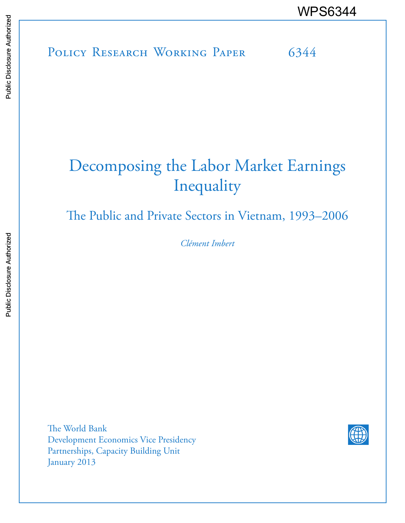POLICY RESEARCH WORKING PAPER 6344 WPS6344<br>
Media<br>
Media<br>
Band<br>
Band<br>
Band<br>
Band<br>
Band<br>
Band<br>
Band<br>
Band<br>
Band<br>
Band<br>
Band<br>
Band<br>
Band<br>
Band<br>
Band<br>
Band<br>
Band<br>
Band<br>
Band<br>
Band<br>
Band<br>
Band<br>
Band<br>
Band<br>
Band<br>
Band<br>
Band<br>
Band<br>
Band<br>
Band<br>
Band<br>
Band<br>
Band<br>
B

# Decomposing the Labor Market Earnings Inequality

The Public and Private Sectors in Vietnam, 1993–2006

*Clément Imbert*

The World Bank Development Economics Vice Presidency Partnerships, Capacity Building Unit January 2013

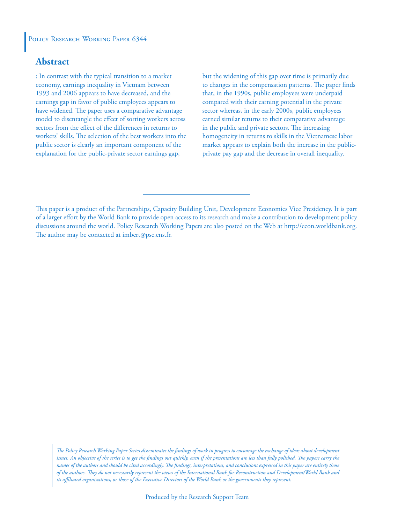#### POLICY RESEARCH WORKING PAPER 6344

### **Abstract**

: In contrast with the typical transition to a market economy, earnings inequality in Vietnam between 1993 and 2006 appears to have decreased, and the earnings gap in favor of public employees appears to have widened. The paper uses a comparative advantage model to disentangle the effect of sorting workers across sectors from the effect of the differences in returns to workers' skills. The selection of the best workers into the public sector is clearly an important component of the explanation for the public-private sector earnings gap,

but the widening of this gap over time is primarily due to changes in the compensation patterns. The paper finds that, in the 1990s, public employees were underpaid compared with their earning potential in the private sector whereas, in the early 2000s, public employees earned similar returns to their comparative advantage in the public and private sectors. The increasing homogeneity in returns to skills in the Vietnamese labor market appears to explain both the increase in the publicprivate pay gap and the decrease in overall inequality.

*The Policy Research Working Paper Series disseminates the findings of work in progress to encourage the exchange of ideas about development*  issues. An objective of the series is to get the findings out quickly, even if the presentations are less than fully polished. The papers carry the *names of the authors and should be cited accordingly. The findings, interpretations, and conclusions expressed in this paper are entirely those of the authors. They do not necessarily represent the views of the International Bank for Reconstruction and Development/World Bank and its affiliated organizations, or those of the Executive Directors of the World Bank or the governments they represent.*

This paper is a product of the Partnerships, Capacity Building Unit, Development Economics Vice Presidency. It is part of a larger effort by the World Bank to provide open access to its research and make a contribution to development policy discussions around the world. Policy Research Working Papers are also posted on the Web at http://econ.worldbank.org. The author may be contacted at imbert@pse.ens.fr.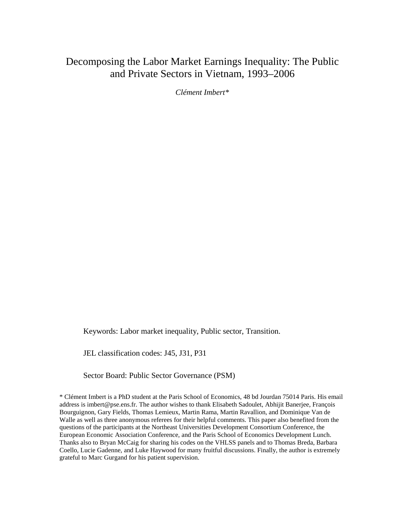## Decomposing the Labor Market Earnings Inequality: The Public and Private Sectors in Vietnam, 1993–2006

*Clément Imbert\** 

Keywords: Labor market inequality, Public sector, Transition.

JEL classification codes: J45, J31, P31

Sector Board: Public Sector Governance (PSM)

\* Clément Imbert is a PhD student at the Paris School of Economics, 48 bd Jourdan 75014 Paris. His email address is imbert@pse.ens.fr. The author wishes to thank Elisabeth Sadoulet, Abhijit Banerjee, François Bourguignon, Gary Fields, Thomas Lemieux, Martin Rama, Martin Ravallion, and Dominique Van de Walle as well as three anonymous referees for their helpful comments. This paper also benefited from the questions of the participants at the Northeast Universities Development Consortium Conference, the European Economic Association Conference, and the Paris School of Economics Development Lunch. Thanks also to Bryan McCaig for sharing his codes on the VHLSS panels and to Thomas Breda, Barbara Coello, Lucie Gadenne, and Luke Haywood for many fruitful discussions. Finally, the author is extremely grateful to Marc Gurgand for his patient supervision.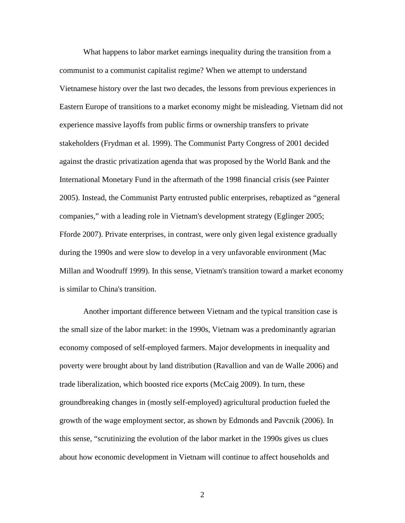What happens to labor market earnings inequality during the transition from a communist to a communist capitalist regime? When we attempt to understand Vietnamese history over the last two decades, the lessons from previous experiences in Eastern Europe of transitions to a market economy might be misleading. Vietnam did not experience massive layoffs from public firms or ownership transfers to private stakeholders (Frydman et al. 1999). The Communist Party Congress of 2001 decided against the drastic privatization agenda that was proposed by the World Bank and the International Monetary Fund in the aftermath of the 1998 financial crisis (see Painter 2005). Instead, the Communist Party entrusted public enterprises, rebaptized as "general companies," with a leading role in Vietnam's development strategy (Eglinger 2005; Fforde 2007). Private enterprises, in contrast, were only given legal existence gradually during the 1990s and were slow to develop in a very unfavorable environment (Mac Millan and Woodruff 1999). In this sense, Vietnam's transition toward a market economy is similar to China's transition.

Another important difference between Vietnam and the typical transition case is the small size of the labor market: in the 1990s, Vietnam was a predominantly agrarian economy composed of self-employed farmers. Major developments in inequality and poverty were brought about by land distribution (Ravallion and van de Walle 2006) and trade liberalization, which boosted rice exports (McCaig 2009). In turn, these groundbreaking changes in (mostly self-employed) agricultural production fueled the growth of the wage employment sector, as shown by Edmonds and Pavcnik (2006). In this sense, "scrutinizing the evolution of the labor market in the 1990s gives us clues about how economic development in Vietnam will continue to affect households and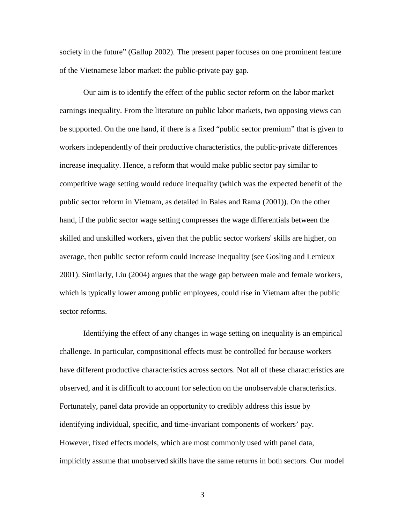society in the future" (Gallup 2002). The present paper focuses on one prominent feature of the Vietnamese labor market: the public-private pay gap.

Our aim is to identify the effect of the public sector reform on the labor market earnings inequality. From the literature on public labor markets, two opposing views can be supported. On the one hand, if there is a fixed "public sector premium" that is given to workers independently of their productive characteristics, the public-private differences increase inequality. Hence, a reform that would make public sector pay similar to competitive wage setting would reduce inequality (which was the expected benefit of the public sector reform in Vietnam, as detailed in Bales and Rama (2001)). On the other hand, if the public sector wage setting compresses the wage differentials between the skilled and unskilled workers, given that the public sector workers' skills are higher, on average, then public sector reform could increase inequality (see Gosling and Lemieux 2001). Similarly, Liu (2004) argues that the wage gap between male and female workers, which is typically lower among public employees, could rise in Vietnam after the public sector reforms.

Identifying the effect of any changes in wage setting on inequality is an empirical challenge. In particular, compositional effects must be controlled for because workers have different productive characteristics across sectors. Not all of these characteristics are observed, and it is difficult to account for selection on the unobservable characteristics. Fortunately, panel data provide an opportunity to credibly address this issue by identifying individual, specific, and time-invariant components of workers' pay. However, fixed effects models, which are most commonly used with panel data, implicitly assume that unobserved skills have the same returns in both sectors. Our model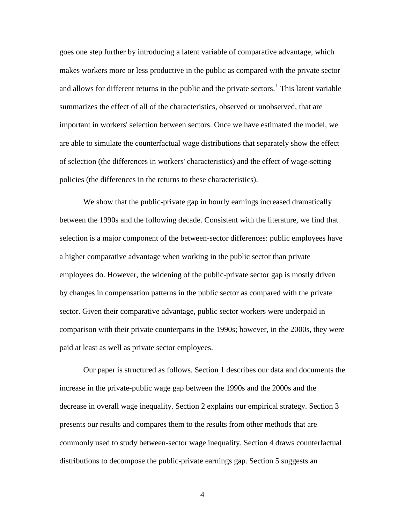goes one step further by introducing a latent variable of comparative advantage, which makes workers more or less productive in the public as compared with the private sector and allows for different returns in the public and the private sectors.<sup>[1](#page-41-0)</sup> This latent variable summarizes the effect of all of the characteristics, observed or unobserved, that are important in workers' selection between sectors. Once we have estimated the model, we are able to simulate the counterfactual wage distributions that separately show the effect of selection (the differences in workers' characteristics) and the effect of wage-setting policies (the differences in the returns to these characteristics).

We show that the public-private gap in hourly earnings increased dramatically between the 1990s and the following decade. Consistent with the literature, we find that selection is a major component of the between-sector differences: public employees have a higher comparative advantage when working in the public sector than private employees do. However, the widening of the public-private sector gap is mostly driven by changes in compensation patterns in the public sector as compared with the private sector. Given their comparative advantage, public sector workers were underpaid in comparison with their private counterparts in the 1990s; however, in the 2000s, they were paid at least as well as private sector employees.

Our paper is structured as follows. Section 1 describes our data and documents the increase in the private-public wage gap between the 1990s and the 2000s and the decrease in overall wage inequality. Section 2 explains our empirical strategy. Section 3 presents our results and compares them to the results from other methods that are commonly used to study between-sector wage inequality. Section 4 draws counterfactual distributions to decompose the public-private earnings gap. Section 5 suggests an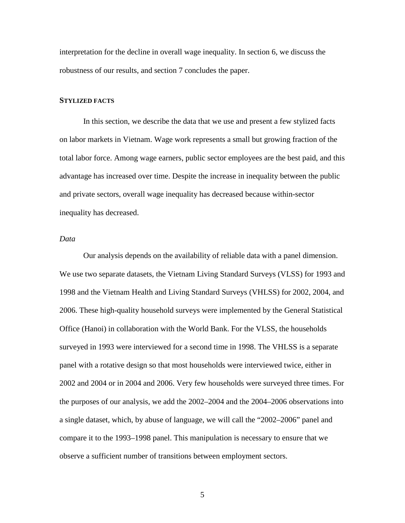interpretation for the decline in overall wage inequality. In section 6, we discuss the robustness of our results, and section 7 concludes the paper.

#### **STYLIZED FACTS**

In this section, we describe the data that we use and present a few stylized facts on labor markets in Vietnam. Wage work represents a small but growing fraction of the total labor force. Among wage earners, public sector employees are the best paid, and this advantage has increased over time. Despite the increase in inequality between the public and private sectors, overall wage inequality has decreased because within-sector inequality has decreased.

#### *Data*

Our analysis depends on the availability of reliable data with a panel dimension. We use two separate datasets, the Vietnam Living Standard Surveys (VLSS) for 1993 and 1998 and the Vietnam Health and Living Standard Surveys (VHLSS) for 2002, 2004, and 2006. These high-quality household surveys were implemented by the General Statistical Office (Hanoi) in collaboration with the World Bank. For the VLSS, the households surveyed in 1993 were interviewed for a second time in 1998. The VHLSS is a separate panel with a rotative design so that most households were interviewed twice, either in 2002 and 2004 or in 2004 and 2006. Very few households were surveyed three times. For the purposes of our analysis, we add the 2002–2004 and the 2004–2006 observations into a single dataset, which, by abuse of language, we will call the "2002–2006" panel and compare it to the 1993–1998 panel. This manipulation is necessary to ensure that we observe a sufficient number of transitions between employment sectors.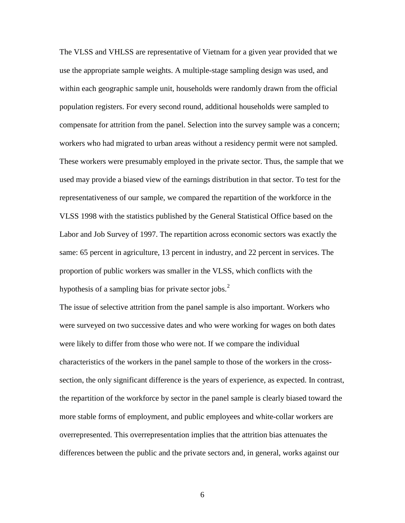The VLSS and VHLSS are representative of Vietnam for a given year provided that we use the appropriate sample weights. A multiple-stage sampling design was used, and within each geographic sample unit, households were randomly drawn from the official population registers. For every second round, additional households were sampled to compensate for attrition from the panel. Selection into the survey sample was a concern; workers who had migrated to urban areas without a residency permit were not sampled. These workers were presumably employed in the private sector. Thus, the sample that we used may provide a biased view of the earnings distribution in that sector. To test for the representativeness of our sample, we compared the repartition of the workforce in the VLSS 1998 with the statistics published by the General Statistical Office based on the Labor and Job Survey of 1997. The repartition across economic sectors was exactly the same: 65 percent in agriculture, 13 percent in industry, and 22 percent in services. The proportion of public workers was smaller in the VLSS, which conflicts with the hypothesis of a sampling bias for private sector jobs.<sup>[2](#page-41-1)</sup>

The issue of selective attrition from the panel sample is also important. Workers who were surveyed on two successive dates and who were working for wages on both dates were likely to differ from those who were not. If we compare the individual characteristics of the workers in the panel sample to those of the workers in the crosssection, the only significant difference is the years of experience, as expected. In contrast, the repartition of the workforce by sector in the panel sample is clearly biased toward the more stable forms of employment, and public employees and white-collar workers are overrepresented. This overrepresentation implies that the attrition bias attenuates the differences between the public and the private sectors and, in general, works against our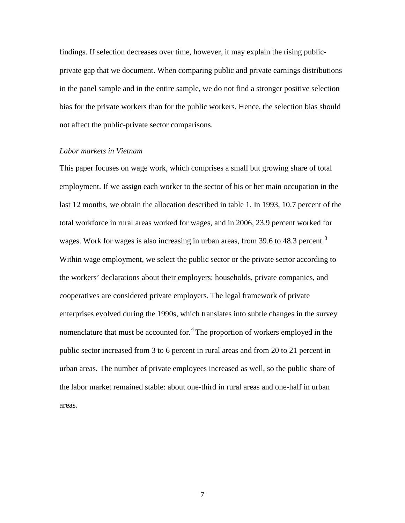findings. If selection decreases over time, however, it may explain the rising publicprivate gap that we document. When comparing public and private earnings distributions in the panel sample and in the entire sample, we do not find a stronger positive selection bias for the private workers than for the public workers. Hence, the selection bias should not affect the public-private sector comparisons.

#### *Labor markets in Vietnam*

This paper focuses on wage work, which comprises a small but growing share of total employment. If we assign each worker to the sector of his or her main occupation in the last 12 months, we obtain the allocation described in table 1. In 1993, 10.7 percent of the total workforce in rural areas worked for wages, and in 2006, 23.9 percent worked for wages. Work for wages is also increasing in urban areas, from [3](#page-41-2)9.6 to 48.3 percent.<sup>3</sup> Within wage employment, we select the public sector or the private sector according to the workers' declarations about their employers: households, private companies, and cooperatives are considered private employers. The legal framework of private enterprises evolved during the 1990s, which translates into subtle changes in the survey nomenclature that must be accounted for.<sup>[4](#page-41-3)</sup> The proportion of workers employed in the public sector increased from 3 to 6 percent in rural areas and from 20 to 21 percent in urban areas. The number of private employees increased as well, so the public share of the labor market remained stable: about one-third in rural areas and one-half in urban areas.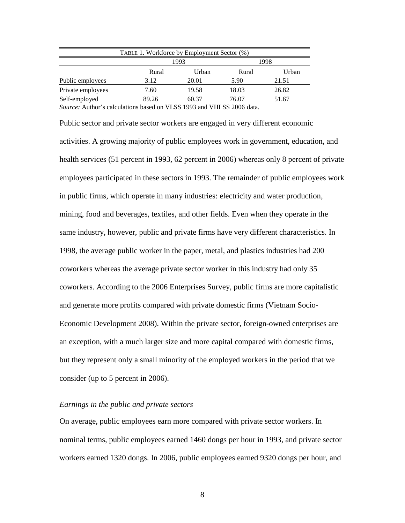| TABLE 1. Workforce by Employment Sector (%) |              |       |       |       |  |  |  |  |  |
|---------------------------------------------|--------------|-------|-------|-------|--|--|--|--|--|
|                                             | 1998<br>1993 |       |       |       |  |  |  |  |  |
|                                             | Rural        | Urban | Rural | Urban |  |  |  |  |  |
| Public employees                            | 3.12         | 20.01 | 5.90  | 21.51 |  |  |  |  |  |
| Private employees                           | 7.60         | 19.58 | 18.03 | 26.82 |  |  |  |  |  |
| Self-employed                               | 89.26        | 60.37 | 76.07 | 51.67 |  |  |  |  |  |

*Source:* Author's calculations based on VLSS 1993 and VHLSS 2006 data.

Public sector and private sector workers are engaged in very different economic activities. A growing majority of public employees work in government, education, and health services (51 percent in 1993, 62 percent in 2006) whereas only 8 percent of private employees participated in these sectors in 1993. The remainder of public employees work in public firms, which operate in many industries: electricity and water production, mining, food and beverages, textiles, and other fields. Even when they operate in the same industry, however, public and private firms have very different characteristics. In 1998, the average public worker in the paper, metal, and plastics industries had 200 coworkers whereas the average private sector worker in this industry had only 35 coworkers. According to the 2006 Enterprises Survey, public firms are more capitalistic and generate more profits compared with private domestic firms (Vietnam Socio-Economic Development 2008). Within the private sector, foreign-owned enterprises are an exception, with a much larger size and more capital compared with domestic firms, but they represent only a small minority of the employed workers in the period that we consider (up to 5 percent in 2006).

#### *Earnings in the public and private sectors*

On average, public employees earn more compared with private sector workers. In nominal terms, public employees earned 1460 dongs per hour in 1993, and private sector workers earned 1320 dongs. In 2006, public employees earned 9320 dongs per hour, and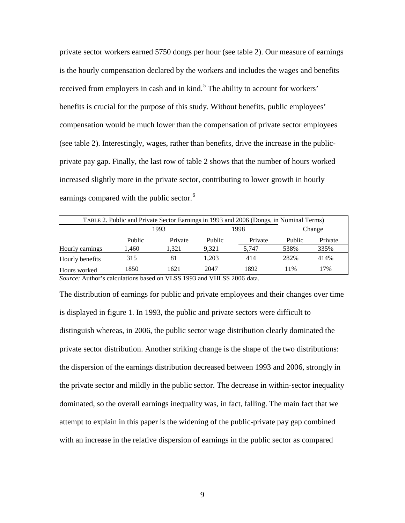private sector workers earned 5750 dongs per hour (see table 2). Our measure of earnings is the hourly compensation declared by the workers and includes the wages and benefits received from employers in cash and in kind.<sup>[5](#page-41-4)</sup> The ability to account for workers' benefits is crucial for the purpose of this study. Without benefits, public employees' compensation would be much lower than the compensation of private sector employees (see table 2). Interestingly, wages, rather than benefits, drive the increase in the publicprivate pay gap. Finally, the last row of table 2 shows that the number of hours worked increased slightly more in the private sector, contributing to lower growth in hourly earnings compared with the public sector.<sup>[6](#page-41-5)</sup>

| TABLE 2. Public and Private Sector Earnings in 1993 and 2006 (Dongs, in Nominal Terms) |        |         |        |         |        |         |  |  |  |
|----------------------------------------------------------------------------------------|--------|---------|--------|---------|--------|---------|--|--|--|
|                                                                                        |        | 1993    |        | 1998    | Change |         |  |  |  |
|                                                                                        | Public | Private | Public | Private | Public | Private |  |  |  |
| Hourly earnings                                                                        | 1,460  | 1.321   | 9.321  | 5.747   | 538%   | 335%    |  |  |  |
| Hourly benefits                                                                        | 315    | 81      | 1.203  | 414     | 282%   | 414%    |  |  |  |
| Hours worked                                                                           | 1850   | 1621    | 2047   | 1892    | 11%    | 17%     |  |  |  |

*Source:* Author's calculations based on VLSS 1993 and VHLSS 2006 data.

The distribution of earnings for public and private employees and their changes over time is displayed in figure 1. In 1993, the public and private sectors were difficult to distinguish whereas, in 2006, the public sector wage distribution clearly dominated the private sector distribution. Another striking change is the shape of the two distributions: the dispersion of the earnings distribution decreased between 1993 and 2006, strongly in the private sector and mildly in the public sector. The decrease in within-sector inequality dominated, so the overall earnings inequality was, in fact, falling. The main fact that we attempt to explain in this paper is the widening of the public-private pay gap combined with an increase in the relative dispersion of earnings in the public sector as compared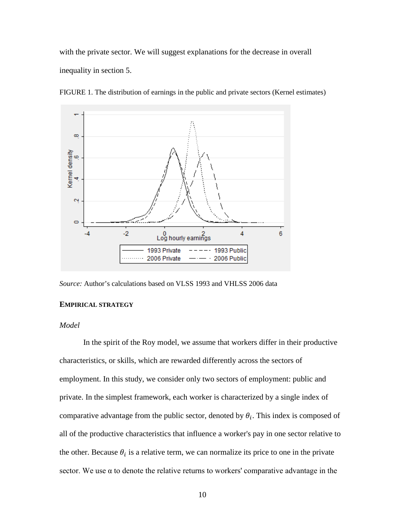with the private sector. We will suggest explanations for the decrease in overall inequality in section 5.



FIGURE 1. The distribution of earnings in the public and private sectors (Kernel estimates)

*Source:* Author's calculations based on VLSS 1993 and VHLSS 2006 data

#### **EMPIRICAL STRATEGY**

#### *Model*

In the spirit of the Roy model, we assume that workers differ in their productive characteristics, or skills, which are rewarded differently across the sectors of employment. In this study, we consider only two sectors of employment: public and private. In the simplest framework, each worker is characterized by a single index of comparative advantage from the public sector, denoted by  $\theta_i$ . This index is composed of all of the productive characteristics that influence a worker's pay in one sector relative to the other. Because  $\theta_i$  is a relative term, we can normalize its price to one in the private sector. We use  $\alpha$  to denote the relative returns to workers' comparative advantage in the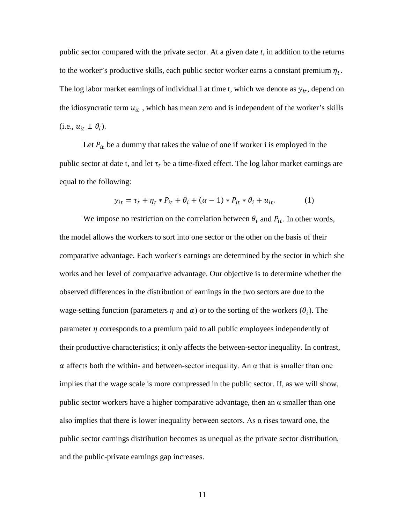public sector compared with the private sector. At a given date *t*, in addition to the returns to the worker's productive skills, each public sector worker earns a constant premium  $\eta_t$ . The log labor market earnings of individual i at time t, which we denote as  $y_{it}$ , depend on the idiosyncratic term  $u_{it}$ , which has mean zero and is independent of the worker's skills  $(i.e., u_{it} \perp \theta_i).$ 

Let  $P_{it}$  be a dummy that takes the value of one if worker i is employed in the public sector at date t, and let  $\tau_t$  be a time-fixed effect. The log labor market earnings are equal to the following:

$$
y_{it} = \tau_t + \eta_t * P_{it} + \theta_i + (\alpha - 1) * P_{it} * \theta_i + u_{it}.
$$
 (1)

We impose no restriction on the correlation between  $\theta_i$  and  $P_{it}$ . In other words, the model allows the workers to sort into one sector or the other on the basis of their comparative advantage. Each worker's earnings are determined by the sector in which she works and her level of comparative advantage. Our objective is to determine whether the observed differences in the distribution of earnings in the two sectors are due to the wage-setting function (parameters  $\eta$  and  $\alpha$ ) or to the sorting of the workers ( $\theta_i$ ). The parameter  $\eta$  corresponds to a premium paid to all public employees independently of their productive characteristics; it only affects the between-sector inequality. In contrast,  $\alpha$  affects both the within- and between-sector inequality. An  $\alpha$  that is smaller than one implies that the wage scale is more compressed in the public sector. If, as we will show, public sector workers have a higher comparative advantage, then an  $\alpha$  smaller than one also implies that there is lower inequality between sectors. As  $\alpha$  rises toward one, the public sector earnings distribution becomes as unequal as the private sector distribution, and the public-private earnings gap increases.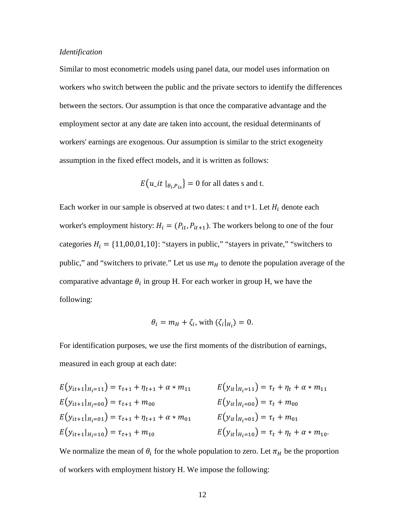#### *Identification*

Similar to most econometric models using panel data, our model uses information on workers who switch between the public and the private sectors to identify the differences between the sectors. Our assumption is that once the comparative advantage and the employment sector at any date are taken into account, the residual determinants of workers' earnings are exogenous. Our assumption is similar to the strict exogeneity assumption in the fixed effect models, and it is written as follows:

$$
E(u_{\perp}it \mid_{\theta_i, P_{is}}) = 0 \text{ for all dates s and t.}
$$

Each worker in our sample is observed at two dates: t and t+1. Let  $H_i$  denote each worker's employment history:  $H_i = (P_{it}, P_{it+1})$ . The workers belong to one of the four categories  $H_i = \{11,00,01,10\}$ : "stayers in public," "stayers in private," "switchers to public," and "switchers to private." Let us use  $m<sub>H</sub>$  to denote the population average of the comparative advantage  $\theta_i$  in group H. For each worker in group H, we have the following:

$$
\theta_i = m_H + \zeta_i, \text{ with } (\zeta_i|_{H_i}) = 0.
$$

For identification purposes, we use the first moments of the distribution of earnings, measured in each group at each date:

$$
E(y_{it+1}|_{H_i=1}) = \tau_{t+1} + \eta_{t+1} + \alpha * m_{11}
$$
  
\n
$$
E(y_{it+1}|_{H_i=00}) = \tau_{t+1} + m_{00}
$$
  
\n
$$
E(y_{it+1}|_{H_i=01}) = \tau_{t+1} + m_{00}
$$
  
\n
$$
E(y_{it}|_{H_i=00}) = \tau_t + m_{00}
$$
  
\n
$$
E(y_{it}|_{H_i=00}) = \tau_t + m_{00}
$$
  
\n
$$
E(y_{it}|_{H_i=01}) = \tau_t + m_{01}
$$
  
\n
$$
E(y_{it}|_{H_i=01}) = \tau_t + m_{01}
$$
  
\n
$$
E(y_{it}|_{H_i=10}) = \tau_t + \eta_t + \alpha * m_{10}.
$$

We normalize the mean of  $\theta_i$  for the whole population to zero. Let  $\pi_H$  be the proportion of workers with employment history H. We impose the following: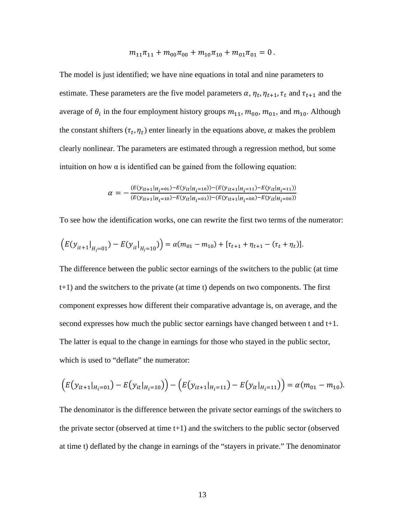$$
m_{11}\pi_{11} + m_{00}\pi_{00} + m_{10}\pi_{10} + m_{01}\pi_{01} = 0.
$$

The model is just identified; we have nine equations in total and nine parameters to estimate. These parameters are the five model parameters  $\alpha$ ,  $\eta_t$ ,  $\eta_{t+1}$ ,  $\tau_t$  and  $\tau_{t+1}$  and the average of  $\theta_i$  in the four employment history groups  $m_{11}$ ,  $m_{00}$ ,  $m_{01}$ , and  $m_{10}$ . Although the constant shifters  $(\tau_t, \eta_t)$  enter linearly in the equations above,  $\alpha$  makes the problem clearly nonlinear. The parameters are estimated through a regression method, but some intuition on how  $\alpha$  is identified can be gained from the following equation:

$$
\alpha = -\frac{(E(y_{it+1}|_{H_i=01}) - E(y_{it}|_{H_i=10})) - (E(y_{it+1}|_{H_i=11}) - E(y_{it}|_{H_i=11}))}{(E(y_{it+1}|_{H_i=10}) - E(y_{it}|_{H_i=01})) - (E(y_{it+1}|_{H_i=00}) - E(y_{it}|_{H_i=00}))}
$$

To see how the identification works, one can rewrite the first two terms of the numerator:

$$
\left(E(y_{it+1}|_{H_i=01})-E(y_{it}|_{H_i=10})\right)=\alpha(m_{01}-m_{10})+[\tau_{t+1}+\eta_{t+1}-(\tau_t+\eta_t)].
$$

The difference between the public sector earnings of the switchers to the public (at time t+1) and the switchers to the private (at time t) depends on two components. The first component expresses how different their comparative advantage is, on average, and the second expresses how much the public sector earnings have changed between t and t+1. The latter is equal to the change in earnings for those who stayed in the public sector, which is used to "deflate" the numerator:

$$
(E(y_{it+1}|_{H_i=01})-E(y_{it}|_{H_i=10}))-(E(y_{it+1}|_{H_i=11})-E(y_{it}|_{H_i=11}))=\alpha(m_{01}-m_{10}).
$$

The denominator is the difference between the private sector earnings of the switchers to the private sector (observed at time  $t+1$ ) and the switchers to the public sector (observed at time t) deflated by the change in earnings of the "stayers in private." The denominator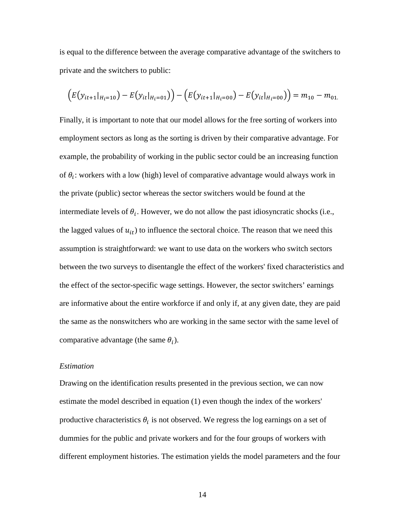is equal to the difference between the average comparative advantage of the switchers to private and the switchers to public:

$$
(E(y_{it+1}|_{H_i=10}) - E(y_{it}|_{H_i=01})) - (E(y_{it+1}|_{H_i=00}) - E(y_{it}|_{H_i=00})) = m_{10} - m_{01}
$$

Finally, it is important to note that our model allows for the free sorting of workers into employment sectors as long as the sorting is driven by their comparative advantage. For example, the probability of working in the public sector could be an increasing function of  $\theta_i$ : workers with a low (high) level of comparative advantage would always work in the private (public) sector whereas the sector switchers would be found at the intermediate levels of  $\theta_i$ . However, we do not allow the past idiosyncratic shocks (i.e., the lagged values of  $u_{it}$ ) to influence the sectoral choice. The reason that we need this assumption is straightforward: we want to use data on the workers who switch sectors between the two surveys to disentangle the effect of the workers' fixed characteristics and the effect of the sector-specific wage settings. However, the sector switchers' earnings are informative about the entire workforce if and only if, at any given date, they are paid the same as the nonswitchers who are working in the same sector with the same level of comparative advantage (the same  $\theta_i$ ).

#### *Estimation*

Drawing on the identification results presented in the previous section, we can now estimate the model described in equation (1) even though the index of the workers' productive characteristics  $\theta_i$  is not observed. We regress the log earnings on a set of dummies for the public and private workers and for the four groups of workers with different employment histories. The estimation yields the model parameters and the four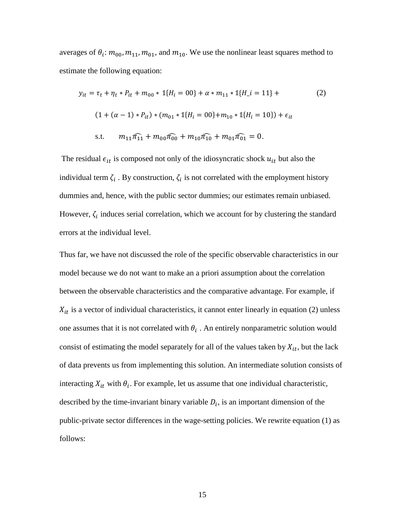averages of  $\theta_i$ :  $m_{00}$ ,  $m_{11}$ ,  $m_{01}$ , and  $m_{10}$ . We use the nonlinear least squares method to estimate the following equation:

$$
y_{it} = \tau_t + \eta_t * P_{it} + m_{00} * 1\{H_i = 00\} + \alpha * m_{11} * 1\{H_i = 11\} +
$$
(2)  
(1 + (\alpha - 1) \* P\_{it}) \* (m\_{01} \* 1\{H\_i = 00\} + m\_{10} \* 1\{H\_i = 10\}) + \epsilon\_{it}  
s.t. \t
$$
m_{11}\pi_{11} + m_{00}\pi_{00} + m_{10}\pi_{10} + m_{01}\pi_{01} = 0.
$$

The residual  $\epsilon_{it}$  is composed not only of the idiosyncratic shock  $u_{it}$  but also the individual term  $\zeta_i$ . By construction,  $\zeta_i$  is not correlated with the employment history dummies and, hence, with the public sector dummies; our estimates remain unbiased. However,  $\zeta_i$  induces serial correlation, which we account for by clustering the standard errors at the individual level.

Thus far, we have not discussed the role of the specific observable characteristics in our model because we do not want to make an a priori assumption about the correlation between the observable characteristics and the comparative advantage. For example, if  $X_{it}$  is a vector of individual characteristics, it cannot enter linearly in equation (2) unless one assumes that it is not correlated with  $\theta_i$ . An entirely nonparametric solution would consist of estimating the model separately for all of the values taken by  $X_{it}$ , but the lack of data prevents us from implementing this solution. An intermediate solution consists of interacting  $X_{it}$  with  $\theta_i$ . For example, let us assume that one individual characteristic, described by the time-invariant binary variable  $D_i$ , is an important dimension of the public-private sector differences in the wage-setting policies. We rewrite equation (1) as follows: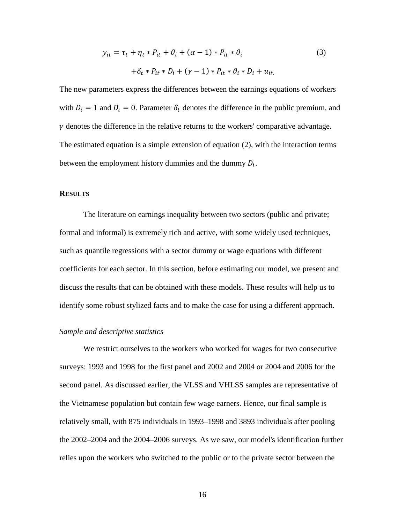$$
y_{it} = \tau_t + \eta_t * P_{it} + \theta_i + (\alpha - 1) * P_{it} * \theta_i
$$
  
+  $\delta_t * P_{it} * D_i + (\gamma - 1) * P_{it} * \theta_i * D_i + u_{it}$ . (3)

The new parameters express the differences between the earnings equations of workers with  $D_i = 1$  and  $D_i = 0$ . Parameter  $\delta_t$  denotes the difference in the public premium, and  $\gamma$  denotes the difference in the relative returns to the workers' comparative advantage. The estimated equation is a simple extension of equation (2), with the interaction terms between the employment history dummies and the dummy  $D_i$ .

#### **RESULTS**

The literature on earnings inequality between two sectors (public and private; formal and informal) is extremely rich and active, with some widely used techniques, such as quantile regressions with a sector dummy or wage equations with different coefficients for each sector. In this section, before estimating our model, we present and discuss the results that can be obtained with these models. These results will help us to identify some robust stylized facts and to make the case for using a different approach.

#### *Sample and descriptive statistics*

We restrict ourselves to the workers who worked for wages for two consecutive surveys: 1993 and 1998 for the first panel and 2002 and 2004 or 2004 and 2006 for the second panel. As discussed earlier, the VLSS and VHLSS samples are representative of the Vietnamese population but contain few wage earners. Hence, our final sample is relatively small, with 875 individuals in 1993–1998 and 3893 individuals after pooling the 2002–2004 and the 2004–2006 surveys. As we saw, our model's identification further relies upon the workers who switched to the public or to the private sector between the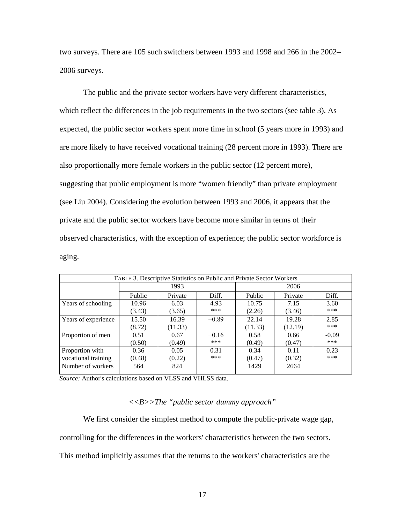two surveys. There are 105 such switchers between 1993 and 1998 and 266 in the 2002– 2006 surveys.

The public and the private sector workers have very different characteristics, which reflect the differences in the job requirements in the two sectors (see table 3). As expected, the public sector workers spent more time in school (5 years more in 1993) and are more likely to have received vocational training (28 percent more in 1993). There are also proportionally more female workers in the public sector (12 percent more), suggesting that public employment is more "women friendly" than private employment (see Liu 2004). Considering the evolution between 1993 and 2006, it appears that the private and the public sector workers have become more similar in terms of their observed characteristics, with the exception of experience; the public sector workforce is aging.

| TABLE 3. Descriptive Statistics on Public and Private Sector Workers |        |         |         |         |         |         |  |  |  |
|----------------------------------------------------------------------|--------|---------|---------|---------|---------|---------|--|--|--|
|                                                                      |        | 1993    |         | 2006    |         |         |  |  |  |
|                                                                      | Public | Private | Diff.   | Public  | Private | Diff.   |  |  |  |
| Years of schooling                                                   | 10.96  | 6.03    | 4.93    | 10.75   | 7.15    | 3.60    |  |  |  |
|                                                                      | (3.43) | (3.65)  | ***     | (2.26)  | (3.46)  | ***     |  |  |  |
| Years of experience                                                  | 15.50  | 16.39   | $-0.89$ | 22.14   | 19.28   | 2.85    |  |  |  |
|                                                                      | (8.72) | (11.33) |         | (11.33) | (12.19) | ***     |  |  |  |
| Proportion of men                                                    | 0.51   | 0.67    | $-0.16$ | 0.58    | 0.66    | $-0.09$ |  |  |  |
|                                                                      | (0.50) | (0.49)  | ***     | (0.49)  | (0.47)  | ***     |  |  |  |
| Proportion with                                                      | 0.36   | 0.05    | 0.31    | 0.34    | 0.11    | 0.23    |  |  |  |
| vocational training                                                  | (0.48) | (0.22)  | ***     | (0.47)  | (0.32)  | ***     |  |  |  |
| Number of workers                                                    | 564    | 824     |         | 1429    | 2664    |         |  |  |  |
|                                                                      |        |         |         |         |         |         |  |  |  |

*Source:* Author's calculations based on VLSS and VHLSS data.

#### *<<B>>The "public sector dummy approach"*

We first consider the simplest method to compute the public-private wage gap, controlling for the differences in the workers' characteristics between the two sectors. This method implicitly assumes that the returns to the workers' characteristics are the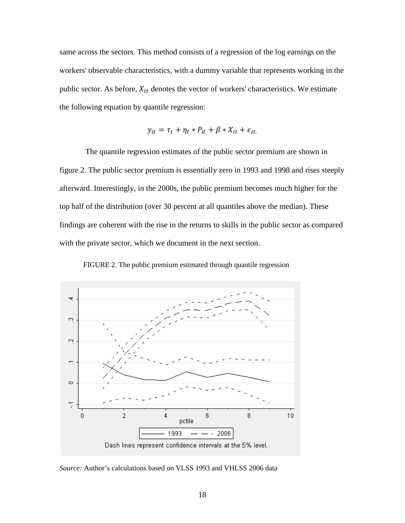same across the sectors. This method consists of a regression of the log earnings on the workers' observable characteristics, with a dummy variable that represents working in the public sector. As before,  $X_{it}$  denotes the vector of workers' characteristics. We estimate the following equation by quantile regression:

$$
y_{it} = \tau_t + \eta_t * P_{it} + \beta * X_{it} + \epsilon_{it}.
$$

 The quantile regression estimates of the public sector premium are shown in figure 2. The public sector premium is essentially zero in 1993 and 1998 and rises steeply afterward. Interestingly, in the 2000s, the public premium becomes much higher for the top half of the distribution (over 30 percent at all quantiles above the median). These findings are coherent with the rise in the returns to skills in the public sector as compared with the private sector, which we document in the next section.

FIGURE 2. The public premium estimated through quantile regression



*Source:* Author's calculations based on VLSS 1993 and VHLSS 2006 data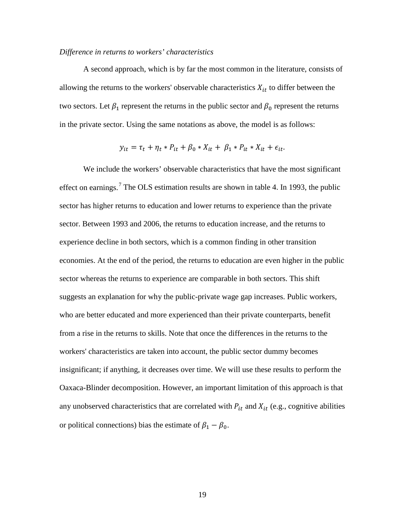#### *Difference in returns to workers' characteristics*

A second approach, which is by far the most common in the literature, consists of allowing the returns to the workers' observable characteristics  $X_{it}$  to differ between the two sectors. Let  $\beta_1$  represent the returns in the public sector and  $\beta_0$  represent the returns in the private sector. Using the same notations as above, the model is as follows:

$$
y_{it} = \tau_t + \eta_t * P_{it} + \beta_0 * X_{it} + \beta_1 * P_{it} * X_{it} + \epsilon_{it}.
$$

We include the workers' observable characteristics that have the most significant effect on earnings.<sup>[7](#page-41-6)</sup> The OLS estimation results are shown in table 4. In 1993, the public sector has higher returns to education and lower returns to experience than the private sector. Between 1993 and 2006, the returns to education increase, and the returns to experience decline in both sectors, which is a common finding in other transition economies. At the end of the period, the returns to education are even higher in the public sector whereas the returns to experience are comparable in both sectors. This shift suggests an explanation for why the public-private wage gap increases. Public workers, who are better educated and more experienced than their private counterparts, benefit from a rise in the returns to skills. Note that once the differences in the returns to the workers' characteristics are taken into account, the public sector dummy becomes insignificant; if anything, it decreases over time. We will use these results to perform the Oaxaca-Blinder decomposition. However, an important limitation of this approach is that any unobserved characteristics that are correlated with  $P_{it}$  and  $X_{it}$  (e.g., cognitive abilities or political connections) bias the estimate of  $\beta_1 - \beta_0$ .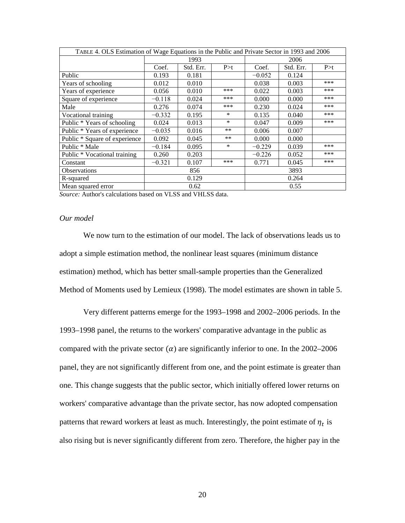| TABLE 4. OLS Estimation of Wage Equations in the Public and Private Sector in 1993 and 2006 |             |           |        |          |           |       |  |
|---------------------------------------------------------------------------------------------|-------------|-----------|--------|----------|-----------|-------|--|
|                                                                                             | 1993        |           |        | 2006     |           |       |  |
|                                                                                             | Coef.       | Std. Err. | P > t  | Coef.    | Std. Err. | P > t |  |
| Public                                                                                      | 0.193       | 0.181     |        | $-0.052$ | 0.124     |       |  |
| Years of schooling                                                                          | 0.012       | 0.010     |        | 0.038    | 0.003     | ***   |  |
| Years of experience                                                                         | 0.056       | 0.010     | ***    | 0.022    | 0.003     | ***   |  |
| Square of experience                                                                        | $-0.118$    | 0.024     | ***    | 0.000    | 0.000     | ***   |  |
| Male                                                                                        | 0.276       | 0.074     | ***    | 0.230    | 0.024     | ***   |  |
| Vocational training                                                                         | $-0.332$    | 0.195     | $\ast$ | 0.135    | 0.040     | ***   |  |
| Public * Years of schooling                                                                 | 0.024       | 0.013     | $\ast$ | 0.047    | 0.009     | ***   |  |
| Public * Years of experience                                                                | $-0.035$    | 0.016     | **     | 0.006    | 0.007     |       |  |
| Public * Square of experience                                                               | 0.092       | 0.045     | **     | 0.000    | 0.000     |       |  |
| Public * Male                                                                               | $-0.184$    | 0.095     | $\ast$ | $-0.229$ | 0.039     | ***   |  |
| Public * Vocational training                                                                | 0.260       | 0.203     |        | $-0.226$ | 0.052     | ***   |  |
| Constant                                                                                    | $-0.321$    | 0.107     | ***    | 0.771    | 0.045     | ***   |  |
| <b>Observations</b>                                                                         | 3893<br>856 |           |        |          |           |       |  |
| R-squared                                                                                   |             | 0.129     |        |          | 0.264     |       |  |
| Mean squared error                                                                          |             | 0.62      |        |          | 0.55      |       |  |

*Source:* Author's calculations based on VLSS and VHLSS data.

#### *Our model*

We now turn to the estimation of our model. The lack of observations leads us to adopt a simple estimation method, the nonlinear least squares (minimum distance estimation) method, which has better small-sample properties than the Generalized Method of Moments used by Lemieux (1998). The model estimates are shown in table 5.

Very different patterns emerge for the 1993–1998 and 2002–2006 periods. In the 1993–1998 panel, the returns to the workers' comparative advantage in the public as compared with the private sector  $(a)$  are significantly inferior to one. In the 2002–2006 panel, they are not significantly different from one, and the point estimate is greater than one. This change suggests that the public sector, which initially offered lower returns on workers' comparative advantage than the private sector, has now adopted compensation patterns that reward workers at least as much. Interestingly, the point estimate of  $\eta_t$  is also rising but is never significantly different from zero. Therefore, the higher pay in the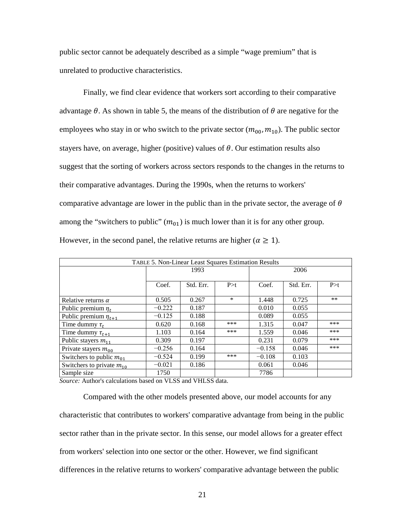public sector cannot be adequately described as a simple "wage premium" that is unrelated to productive characteristics.

Finally, we find clear evidence that workers sort according to their comparative advantage  $\theta$ . As shown in table 5, the means of the distribution of  $\theta$  are negative for the employees who stay in or who switch to the private sector  $(m_{00}, m_{10})$ . The public sector stayers have, on average, higher (positive) values of  $\theta$ . Our estimation results also suggest that the sorting of workers across sectors responds to the changes in the returns to their comparative advantages. During the 1990s, when the returns to workers' comparative advantage are lower in the public than in the private sector, the average of  $\theta$ among the "switchers to public"  $(m_{01})$  is much lower than it is for any other group. However, in the second panel, the relative returns are higher ( $\alpha \geq 1$ ).

| TABLE 5. Non-Linear Least Squares Estimation Results |          |           |        |          |           |       |  |  |
|------------------------------------------------------|----------|-----------|--------|----------|-----------|-------|--|--|
|                                                      |          | 1993      |        | 2006     |           |       |  |  |
|                                                      |          |           |        |          |           |       |  |  |
|                                                      | Coef.    | Std. Err. | P > t  | Coef.    | Std. Err. | P > t |  |  |
| Relative returns $\alpha$                            | 0.505    | 0.267     | $\ast$ | 1.448    | 0.725     | **    |  |  |
| Public premium $\eta_t$                              | $-0.222$ | 0.187     |        | 0.010    | 0.055     |       |  |  |
| Public premium $\eta_{t+1}$                          | $-0.125$ | 0.188     |        | 0.089    | 0.055     |       |  |  |
| Time dummy $\tau_t$                                  | 0.620    | 0.168     | ***    | 1.315    | 0.047     | ***   |  |  |
| Time dummy $\tau_{t+1}$                              | 1.103    | 0.164     | ***    | 1.559    | 0.046     | ***   |  |  |
| Public stayers $m_{11}$                              | 0.309    | 0.197     |        | 0.231    | 0.079     | ***   |  |  |
| Private stayers $m_{00}$                             | $-0.256$ | 0.164     |        | $-0.158$ | 0.046     | ***   |  |  |
| Switchers to public $m_{01}$                         | $-0.524$ | 0.199     | ***    | $-0.108$ | 0.103     |       |  |  |
| Switchers to private $m_{10}$                        | $-0.021$ | 0.186     |        | 0.061    | 0.046     |       |  |  |
| Sample size                                          | 1750     |           |        | 7786     |           |       |  |  |

*Source:* Author's calculations based on VLSS and VHLSS data.

Compared with the other models presented above, our model accounts for any characteristic that contributes to workers' comparative advantage from being in the public sector rather than in the private sector. In this sense, our model allows for a greater effect from workers' selection into one sector or the other. However, we find significant differences in the relative returns to workers' comparative advantage between the public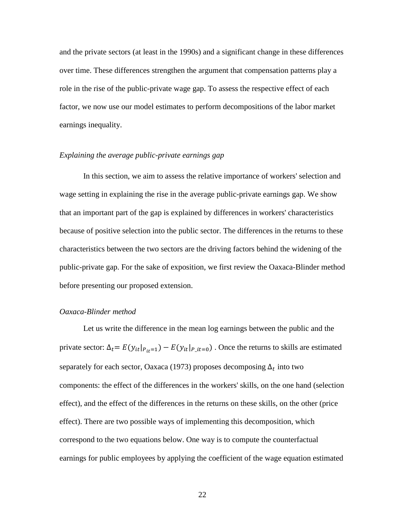and the private sectors (at least in the 1990s) and a significant change in these differences over time. These differences strengthen the argument that compensation patterns play a role in the rise of the public-private wage gap. To assess the respective effect of each factor, we now use our model estimates to perform decompositions of the labor market earnings inequality.

#### *Explaining the average public-private earnings gap*

In this section, we aim to assess the relative importance of workers' selection and wage setting in explaining the rise in the average public-private earnings gap. We show that an important part of the gap is explained by differences in workers' characteristics because of positive selection into the public sector. The differences in the returns to these characteristics between the two sectors are the driving factors behind the widening of the public-private gap. For the sake of exposition, we first review the Oaxaca-Blinder method before presenting our proposed extension.

#### *Oaxaca-Blinder method*

Let us write the difference in the mean log earnings between the public and the private sector:  $\Delta_t = E(y_{it}|_{P_{it}=1}) - E(y_{it}|_{P_{it}=0})$ . Once the returns to skills are estimated separately for each sector, Oaxaca (1973) proposes decomposing  $\Delta_t$  into two components: the effect of the differences in the workers' skills, on the one hand (selection effect), and the effect of the differences in the returns on these skills, on the other (price effect). There are two possible ways of implementing this decomposition, which correspond to the two equations below. One way is to compute the counterfactual earnings for public employees by applying the coefficient of the wage equation estimated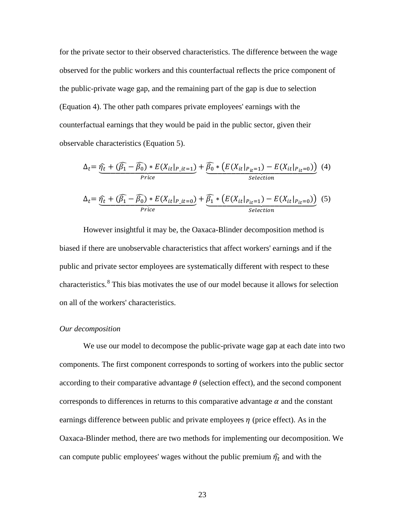for the private sector to their observed characteristics. The difference between the wage observed for the public workers and this counterfactual reflects the price component of the public-private wage gap, and the remaining part of the gap is due to selection (Equation 4). The other path compares private employees' earnings with the counterfactual earnings that they would be paid in the public sector, given their observable characteristics (Equation 5).

$$
\Delta_{t} = \underbrace{\widehat{\eta}_{t} + (\widehat{\beta}_{1} - \widehat{\beta}_{0}) * E(X_{it}|_{P\_it=1})}_{Price} + \underbrace{\widehat{\beta}_{0} * (E(X_{it}|_{P_{it}=1}) - E(X_{it}|_{P_{it}=0}))}_{Selection} (4)
$$
\n
$$
\Delta_{t} = \underbrace{\widehat{\eta}_{t} + (\widehat{\beta}_{1} - \widehat{\beta}_{0}) * E(X_{it}|_{P\_it=0})}_{Price} + \underbrace{\widehat{\beta}_{1} * (E(X_{it}|_{P_{it}=1}) - E(X_{it}|_{P_{it}=0}))}_{Selection} (5)
$$

However insightful it may be, the Oaxaca-Blinder decomposition method is biased if there are unobservable characteristics that affect workers' earnings and if the public and private sector employees are systematically different with respect to these characteristics.<sup>8</sup> This bias motivates the use of our model because it allows for selection on all of the workers' characteristics.

#### Our decomposition

We use our model to decompose the public-private wage gap at each date into two components. The first component corresponds to sorting of workers into the public sector according to their comparative advantage  $\theta$  (selection effect), and the second component corresponds to differences in returns to this comparative advantage  $\alpha$  and the constant earnings difference between public and private employees  $\eta$  (price effect). As in the Oaxaca-Blinder method, there are two methods for implementing our decomposition. We can compute public employees' wages without the public premium  $\hat{\eta_t}$  and with the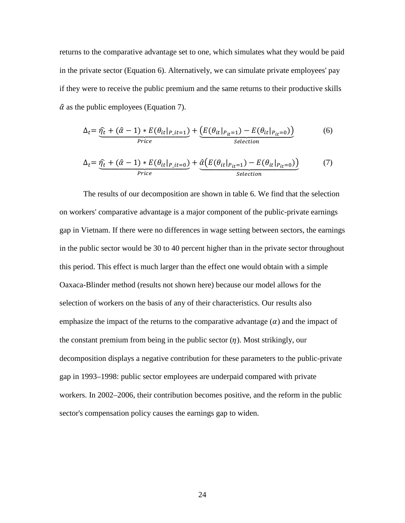returns to the comparative advantage set to one, which simulates what they would be paid in the private sector (Equation 6). Alternatively, we can simulate private employees' pay if they were to receive the public premium and the same returns to their productive skills  $\hat{\alpha}$  as the public employees (Equation 7).

$$
\Delta_{t} = \underbrace{\widehat{\eta_{t}} + (\widehat{\alpha} - 1) * E(\theta_{it}|_{P\_it=1})}_{Price} + \underbrace{\left(E(\theta_{it}|_{P_{it}=1}) - E(\theta_{it}|_{P_{it}=0})\right)}_{Selection}
$$
(6)

$$
\Delta_{t} = \underbrace{\hat{\eta_{t}} + (\hat{\alpha} - 1) * E(\theta_{it}|_{P\_it=0})}_{Price} + \underbrace{\hat{\alpha}(E(\theta_{it}|_{P_{it}=1}) - E(\theta_{it}|_{P_{it}=0}))}_{Selection}
$$
(7)

The results of our decomposition are shown in table 6. We find that the selection on workers' comparative advantage is a major component of the public-private earnings gap in Vietnam. If there were no differences in wage setting between sectors, the earnings in the public sector would be 30 to 40 percent higher than in the private sector throughout this period. This effect is much larger than the effect one would obtain with a simple Oaxaca-Blinder method (results not shown here) because our model allows for the selection of workers on the basis of any of their characteristics. Our results also emphasize the impact of the returns to the comparative advantage  $(\alpha)$  and the impact of the constant premium from being in the public sector  $(\eta)$ . Most strikingly, our decomposition displays a negative contribution for these parameters to the public-private gap in 1993–1998: public sector employees are underpaid compared with private workers. In 2002–2006, their contribution becomes positive, and the reform in the public sector's compensation policy causes the earnings gap to widen.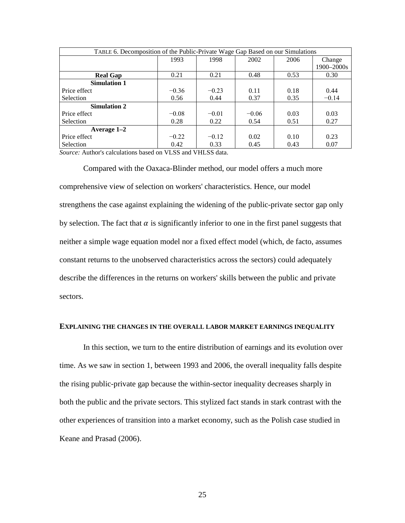| TABLE 6. Decomposition of the Public-Private Wage Gap Based on our Simulations |         |         |         |      |            |  |  |  |
|--------------------------------------------------------------------------------|---------|---------|---------|------|------------|--|--|--|
|                                                                                | 1993    | 1998    | 2002    | 2006 | Change     |  |  |  |
|                                                                                |         |         |         |      | 1900-2000s |  |  |  |
| <b>Real Gap</b>                                                                | 0.21    | 0.21    | 0.48    | 0.53 | 0.30       |  |  |  |
| <b>Simulation 1</b>                                                            |         |         |         |      |            |  |  |  |
| Price effect                                                                   | $-0.36$ | $-0.23$ | 0.11    | 0.18 | 0.44       |  |  |  |
| Selection                                                                      | 0.56    | 0.44    | 0.37    | 0.35 | $-0.14$    |  |  |  |
| <b>Simulation 2</b>                                                            |         |         |         |      |            |  |  |  |
| Price effect                                                                   | $-0.08$ | $-0.01$ | $-0.06$ | 0.03 | 0.03       |  |  |  |
| <b>Selection</b>                                                               | 0.28    | 0.22    | 0.54    | 0.51 | 0.27       |  |  |  |
| Average $1-2$                                                                  |         |         |         |      |            |  |  |  |
| Price effect                                                                   | $-0.22$ | $-0.12$ | 0.02    | 0.10 | 0.23       |  |  |  |
| Selection                                                                      | 0.42    | 0.33    | 0.45    | 0.43 | 0.07       |  |  |  |

*Source:* Author's calculations based on VLSS and VHLSS data.

Compared with the Oaxaca-Blinder method, our model offers a much more comprehensive view of selection on workers' characteristics. Hence, our model strengthens the case against explaining the widening of the public-private sector gap only by selection. The fact that  $\alpha$  is significantly inferior to one in the first panel suggests that neither a simple wage equation model nor a fixed effect model (which, de facto, assumes constant returns to the unobserved characteristics across the sectors) could adequately describe the differences in the returns on workers' skills between the public and private sectors.

#### **EXPLAINING THE CHANGES IN THE OVERALL LABOR MARKET EARNINGS INEQUALITY**

In this section, we turn to the entire distribution of earnings and its evolution over time. As we saw in section 1, between 1993 and 2006, the overall inequality falls despite the rising public-private gap because the within-sector inequality decreases sharply in both the public and the private sectors. This stylized fact stands in stark contrast with the other experiences of transition into a market economy, such as the Polish case studied in Keane and Prasad (2006).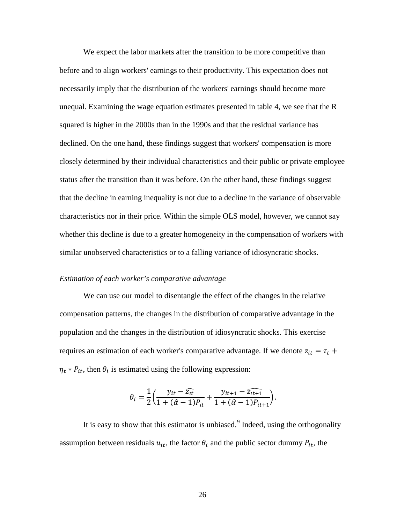We expect the labor markets after the transition to be more competitive than before and to align workers' earnings to their productivity. This expectation does not necessarily imply that the distribution of the workers' earnings should become more unequal. Examining the wage equation estimates presented in table 4, we see that the R squared is higher in the 2000s than in the 1990s and that the residual variance has declined. On the one hand, these findings suggest that workers' compensation is more closely determined by their individual characteristics and their public or private employee status after the transition than it was before. On the other hand, these findings suggest that the decline in earning inequality is not due to a decline in the variance of observable characteristics nor in their price. Within the simple OLS model, however, we cannot say whether this decline is due to a greater homogeneity in the compensation of workers with similar unobserved characteristics or to a falling variance of idiosyncratic shocks.

#### *Estimation of each worker's comparative advantage*

We can use our model to disentangle the effect of the changes in the relative compensation patterns, the changes in the distribution of comparative advantage in the population and the changes in the distribution of idiosyncratic shocks. This exercise requires an estimation of each worker's comparative advantage. If we denote  $z_{it} = \tau_t +$  $\eta_t * P_{it}$ , then  $\theta_i$  is estimated using the following expression:

$$
\theta_i = \frac{1}{2} \left( \frac{y_{it} - \widehat{z_{it}}}{1 + (\widehat{\alpha} - 1)P_{it}} + \frac{y_{it+1} - \widehat{z_{it+1}}}{1 + (\widehat{\alpha} - 1)P_{it+1}} \right).
$$

It is easy to show that this estimator is unbiased. $9$  Indeed, using the orthogonality assumption between residuals  $u_{it}$ , the factor  $\theta_i$  and the public sector dummy  $P_{it}$ , the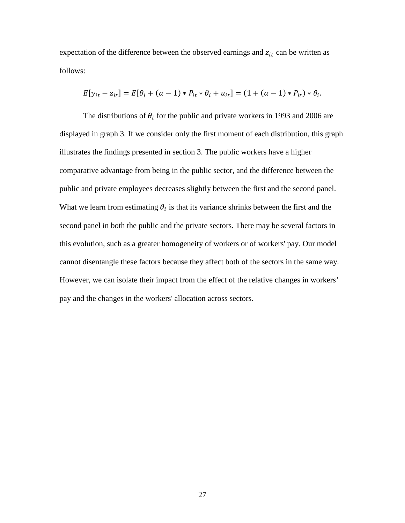expectation of the difference between the observed earnings and  $z_{it}$  can be written as follows:

$$
E[y_{it} - z_{it}] = E[\theta_i + (\alpha - 1) * P_{it} * \theta_i + u_{it}] = (1 + (\alpha - 1) * P_{it}) * \theta_i.
$$

The distributions of  $\theta_i$  for the public and private workers in 1993 and 2006 are displayed in graph 3. If we consider only the first moment of each distribution, this graph illustrates the findings presented in section 3. The public workers have a higher comparative advantage from being in the public sector, and the difference between the public and private employees decreases slightly between the first and the second panel. What we learn from estimating  $\theta_i$  is that its variance shrinks between the first and the second panel in both the public and the private sectors. There may be several factors in this evolution, such as a greater homogeneity of workers or of workers' pay. Our model cannot disentangle these factors because they affect both of the sectors in the same way. However, we can isolate their impact from the effect of the relative changes in workers' pay and the changes in the workers' allocation across sectors.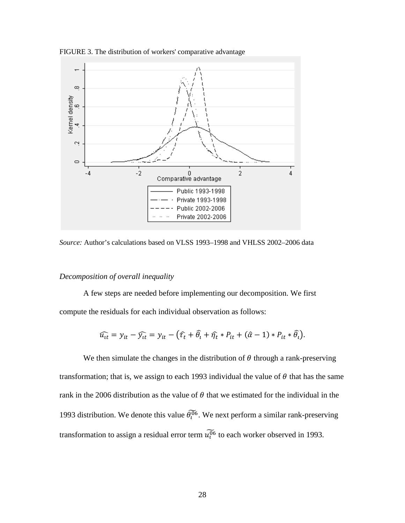

FIGURE 3. The distribution of workers' comparative advantage

*Source:* Author's calculations based on VLSS 1993–1998 and VHLSS 2002–2006 data

#### *Decomposition of overall inequality*

A few steps are needed before implementing our decomposition. We first compute the residuals for each individual observation as follows:

$$
\widehat{u_{tt}} = y_{it} - \widehat{y_{it}} = y_{it} - (\widehat{\tau_t} + \widehat{\theta}_t + \widehat{\eta_t} * P_{it} + (\widehat{\alpha} - 1) * P_{it} * \widehat{\theta}_t).
$$

We then simulate the changes in the distribution of  $\theta$  through a rank-preserving transformation; that is, we assign to each 1993 individual the value of  $\theta$  that has the same rank in the 2006 distribution as the value of  $\theta$  that we estimated for the individual in the 1993 distribution. We denote this value  $\theta_l^{06}$ . We next perform a similar rank-preserving transformation to assign a residual error term  $u_0^{06}$  to each worker observed in 1993.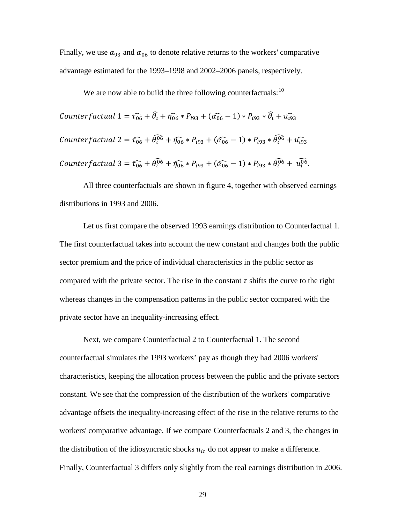Finally, we use  $\alpha_{93}$  and  $\alpha_{06}$  to denote relative returns to the workers' comparative advantage estimated for the 1993–1998 and 2002–2006 panels, respectively.

We are now able to build the three following counterfactuals: $10$ Counterf actual  $1 = \widehat{t_{06}} + \widehat{\theta}_l + \widehat{\eta_{06}} * P_{i93} + (\widehat{\alpha_{06}} - 1) * P_{i93} * \widehat{\theta}_l + \widehat{u_{093}}$ Counterfactual  $2 = \widehat{t_{06}} + \widehat{\theta_1^{06}} + \widehat{\eta_{06}} * P_{i93} + (\widehat{\alpha_{06}} - 1) * P_{i93} * \widehat{\theta_1^{06}} + \widehat{u_{093}}$ Counterfactual 3 =  $\widehat{t_{06}} + \widehat{\theta_1^{06}} + \widehat{\eta_{06}} * P_{i93} + (\widehat{\alpha_{06}} - 1) * P_{i93} * \widehat{\theta_1^{06}} + u_1^{06}$ .

All three counterfactuals are shown in figure 4, together with observed earnings distributions in 1993 and 2006.

Let us first compare the observed 1993 earnings distribution to Counterfactual 1. The first counterfactual takes into account the new constant and changes both the public sector premium and the price of individual characteristics in the public sector as compared with the private sector. The rise in the constant  $\tau$  shifts the curve to the right whereas changes in the compensation patterns in the public sector compared with the private sector have an inequality-increasing effect.

Next, we compare Counterfactual 2 to Counterfactual 1. The second counterfactual simulates the 1993 workers' pay as though they had 2006 workers' characteristics, keeping the allocation process between the public and the private sectors constant. We see that the compression of the distribution of the workers' comparative advantage offsets the inequality-increasing effect of the rise in the relative returns to the workers' comparative advantage. If we compare Counterfactuals 2 and 3, the changes in the distribution of the idiosyncratic shocks  $u_{it}$  do not appear to make a difference. Finally, Counterfactual 3 differs only slightly from the real earnings distribution in 2006.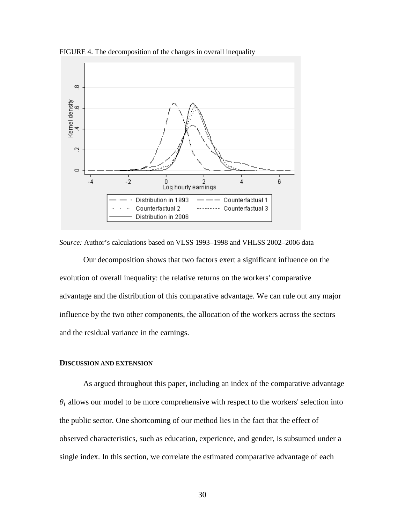FIGURE 4. The decomposition of the changes in overall inequality



*Source:* Author's calculations based on VLSS 1993–1998 and VHLSS 2002–2006 data

Our decomposition shows that two factors exert a significant influence on the evolution of overall inequality: the relative returns on the workers' comparative advantage and the distribution of this comparative advantage. We can rule out any major influence by the two other components, the allocation of the workers across the sectors and the residual variance in the earnings.

#### **DISCUSSION AND EXTENSION**

As argued throughout this paper, including an index of the comparative advantage  $\theta_i$  allows our model to be more comprehensive with respect to the workers' selection into the public sector. One shortcoming of our method lies in the fact that the effect of observed characteristics, such as education, experience, and gender, is subsumed under a single index. In this section, we correlate the estimated comparative advantage of each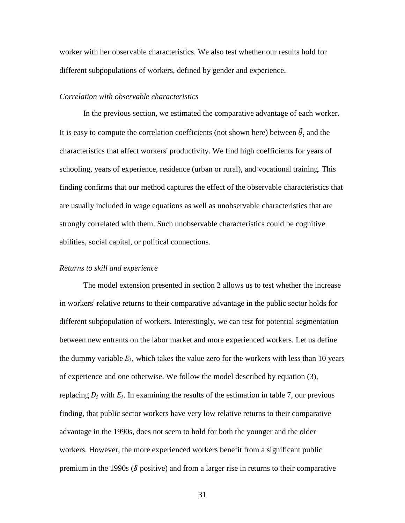worker with her observable characteristics. We also test whether our results hold for different subpopulations of workers, defined by gender and experience.

#### *Correlation with observable characteristics*

In the previous section, we estimated the comparative advantage of each worker. It is easy to compute the correlation coefficients (not shown here) between  $\hat{\theta}_t$  and the characteristics that affect workers' productivity. We find high coefficients for years of schooling, years of experience, residence (urban or rural), and vocational training. This finding confirms that our method captures the effect of the observable characteristics that are usually included in wage equations as well as unobservable characteristics that are strongly correlated with them. Such unobservable characteristics could be cognitive abilities, social capital, or political connections.

#### *Returns to skill and experience*

The model extension presented in section 2 allows us to test whether the increase in workers' relative returns to their comparative advantage in the public sector holds for different subpopulation of workers. Interestingly, we can test for potential segmentation between new entrants on the labor market and more experienced workers. Let us define the dummy variable  $E_i$ , which takes the value zero for the workers with less than 10 years of experience and one otherwise. We follow the model described by equation (3), replacing  $D_i$  with  $E_i$ . In examining the results of the estimation in table 7, our previous finding, that public sector workers have very low relative returns to their comparative advantage in the 1990s, does not seem to hold for both the younger and the older workers. However, the more experienced workers benefit from a significant public premium in the 1990s ( $\delta$  positive) and from a larger rise in returns to their comparative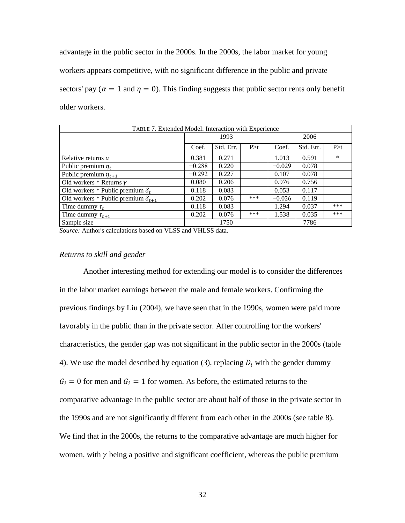advantage in the public sector in the 2000s. In the 2000s, the labor market for young workers appears competitive, with no significant difference in the public and private sectors' pay ( $\alpha = 1$  and  $\eta = 0$ ). This finding suggests that public sector rents only benefit older workers.

| TABLE 7. Extended Model: Interaction with Experience |          |           |       |          |           |        |  |  |
|------------------------------------------------------|----------|-----------|-------|----------|-----------|--------|--|--|
|                                                      |          | 1993      |       | 2006     |           |        |  |  |
|                                                      | Coef.    | Std. Err. | P > t | Coef.    | Std. Err. | P > t  |  |  |
| Relative returns $\alpha$                            | 0.381    | 0.271     |       | 1.013    | 0.591     | $\ast$ |  |  |
| Public premium $\eta_t$                              | $-0.288$ | 0.220     |       | $-0.029$ | 0.078     |        |  |  |
| Public premium $\eta_{t+1}$                          | $-0.292$ | 0.227     |       | 0.107    | 0.078     |        |  |  |
| Old workers $*$ Returns $\gamma$                     | 0.080    | 0.206     |       | 0.976    | 0.756     |        |  |  |
| Old workers * Public premium $\delta_t$              | 0.118    | 0.083     |       | 0.053    | 0.117     |        |  |  |
| Old workers * Public premium $\delta_{t+1}$          | 0.202    | 0.076     | ***   | $-0.026$ | 0.119     |        |  |  |
| Time dummy $\tau_t$                                  | 0.118    | 0.083     |       | 1.294    | 0.037     | ***    |  |  |
| Time dummy $\tau_{t+1}$                              | 0.202    | 0.076     | ***   | 1.538    | 0.035     | ***    |  |  |
| Sample size                                          |          | 1750      |       |          | 7786      |        |  |  |

*Source:* Author's calculations based on VLSS and VHLSS data.

#### *Returns to skill and gender*

Another interesting method for extending our model is to consider the differences in the labor market earnings between the male and female workers. Confirming the previous findings by Liu (2004), we have seen that in the 1990s, women were paid more favorably in the public than in the private sector. After controlling for the workers' characteristics, the gender gap was not significant in the public sector in the 2000s (table 4). We use the model described by equation (3), replacing  $D_i$  with the gender dummy  $G_i = 0$  for men and  $G_i = 1$  for women. As before, the estimated returns to the comparative advantage in the public sector are about half of those in the private sector in the 1990s and are not significantly different from each other in the 2000s (see table 8). We find that in the 2000s, the returns to the comparative advantage are much higher for women, with  $\gamma$  being a positive and significant coefficient, whereas the public premium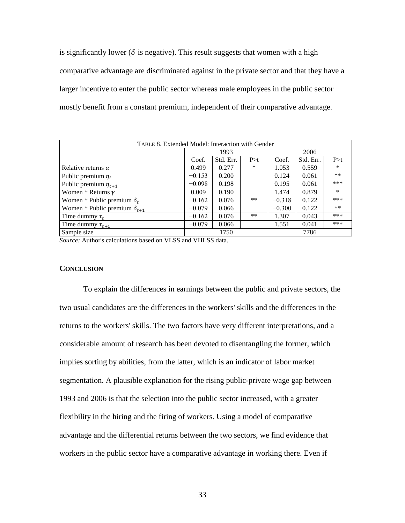is significantly lower ( $\delta$  is negative). This result suggests that women with a high comparative advantage are discriminated against in the private sector and that they have a larger incentive to enter the public sector whereas male employees in the public sector mostly benefit from a constant premium, independent of their comparative advantage.

| TABLE 8. Extended Model: Interaction with Gender |          |           |        |          |           |        |  |  |
|--------------------------------------------------|----------|-----------|--------|----------|-----------|--------|--|--|
|                                                  |          | 1993      |        | 2006     |           |        |  |  |
|                                                  | Coef.    | Std. Err. | P > t  | Coef.    | Std. Err. | P > t  |  |  |
| Relative returns $\alpha$                        | 0.499    | 0.277     | $\ast$ | 1.053    | 0.559     | ∗      |  |  |
| Public premium $\eta_t$                          | $-0.153$ | 0.200     |        | 0.124    | 0.061     | $***$  |  |  |
| Public premium $\eta_{t+1}$                      | $-0.098$ | 0.198     |        | 0.195    | 0.061     | ***    |  |  |
| Women * Returns $\gamma$                         | 0.009    | 0.190     |        | 1.474    | 0.879     | $\ast$ |  |  |
| Women * Public premium $\delta_t$                | $-0.162$ | 0.076     | $***$  | $-0.318$ | 0.122     | ***    |  |  |
| Women * Public premium $\delta_{t+1}$            | $-0.079$ | 0.066     |        | $-0.300$ | 0.122     | $***$  |  |  |
| Time dummy $\tau_t$                              | $-0.162$ | 0.076     | $***$  | 1.307    | 0.043     | ***    |  |  |
| Time dummy $\tau_{t+1}$                          | $-0.079$ | 0.066     |        | 1.551    | 0.041     | ***    |  |  |
| Sample size                                      |          | 1750      |        |          | 7786      |        |  |  |

*Source:* Author's calculations based on VLSS and VHLSS data.

#### **CONCLUSION**

To explain the differences in earnings between the public and private sectors, the two usual candidates are the differences in the workers' skills and the differences in the returns to the workers' skills. The two factors have very different interpretations, and a considerable amount of research has been devoted to disentangling the former, which implies sorting by abilities, from the latter, which is an indicator of labor market segmentation. A plausible explanation for the rising public-private wage gap between 1993 and 2006 is that the selection into the public sector increased, with a greater flexibility in the hiring and the firing of workers. Using a model of comparative advantage and the differential returns between the two sectors, we find evidence that workers in the public sector have a comparative advantage in working there. Even if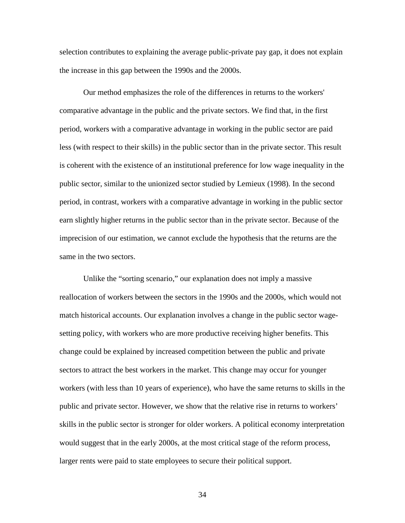selection contributes to explaining the average public-private pay gap, it does not explain the increase in this gap between the 1990s and the 2000s.

Our method emphasizes the role of the differences in returns to the workers' comparative advantage in the public and the private sectors. We find that, in the first period, workers with a comparative advantage in working in the public sector are paid less (with respect to their skills) in the public sector than in the private sector. This result is coherent with the existence of an institutional preference for low wage inequality in the public sector, similar to the unionized sector studied by Lemieux (1998). In the second period, in contrast, workers with a comparative advantage in working in the public sector earn slightly higher returns in the public sector than in the private sector. Because of the imprecision of our estimation, we cannot exclude the hypothesis that the returns are the same in the two sectors.

Unlike the "sorting scenario," our explanation does not imply a massive reallocation of workers between the sectors in the 1990s and the 2000s, which would not match historical accounts. Our explanation involves a change in the public sector wagesetting policy, with workers who are more productive receiving higher benefits. This change could be explained by increased competition between the public and private sectors to attract the best workers in the market. This change may occur for younger workers (with less than 10 years of experience), who have the same returns to skills in the public and private sector. However, we show that the relative rise in returns to workers' skills in the public sector is stronger for older workers. A political economy interpretation would suggest that in the early 2000s, at the most critical stage of the reform process, larger rents were paid to state employees to secure their political support.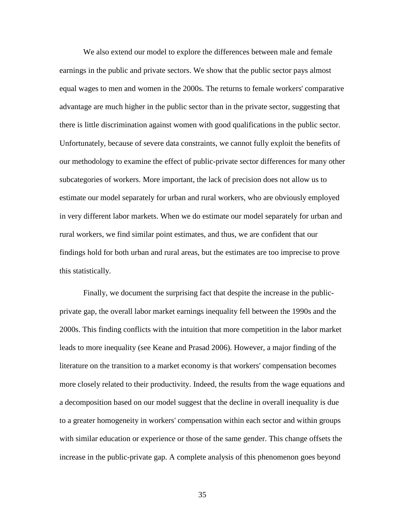We also extend our model to explore the differences between male and female earnings in the public and private sectors. We show that the public sector pays almost equal wages to men and women in the 2000s. The returns to female workers' comparative advantage are much higher in the public sector than in the private sector, suggesting that there is little discrimination against women with good qualifications in the public sector. Unfortunately, because of severe data constraints, we cannot fully exploit the benefits of our methodology to examine the effect of public-private sector differences for many other subcategories of workers. More important, the lack of precision does not allow us to estimate our model separately for urban and rural workers, who are obviously employed in very different labor markets. When we do estimate our model separately for urban and rural workers, we find similar point estimates, and thus, we are confident that our findings hold for both urban and rural areas, but the estimates are too imprecise to prove this statistically.

Finally, we document the surprising fact that despite the increase in the publicprivate gap, the overall labor market earnings inequality fell between the 1990s and the 2000s. This finding conflicts with the intuition that more competition in the labor market leads to more inequality (see Keane and Prasad 2006). However, a major finding of the literature on the transition to a market economy is that workers' compensation becomes more closely related to their productivity. Indeed, the results from the wage equations and a decomposition based on our model suggest that the decline in overall inequality is due to a greater homogeneity in workers' compensation within each sector and within groups with similar education or experience or those of the same gender. This change offsets the increase in the public-private gap. A complete analysis of this phenomenon goes beyond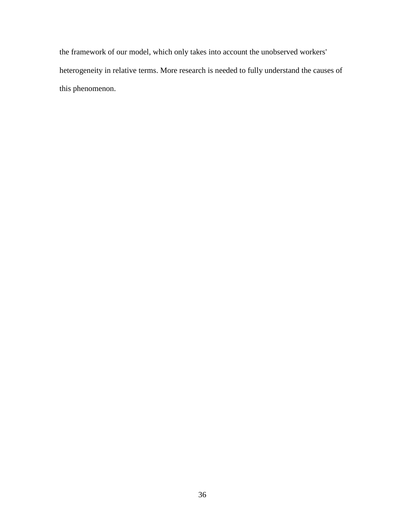the framework of our model, which only takes into account the unobserved workers' heterogeneity in relative terms. More research is needed to fully understand the causes of this phenomenon.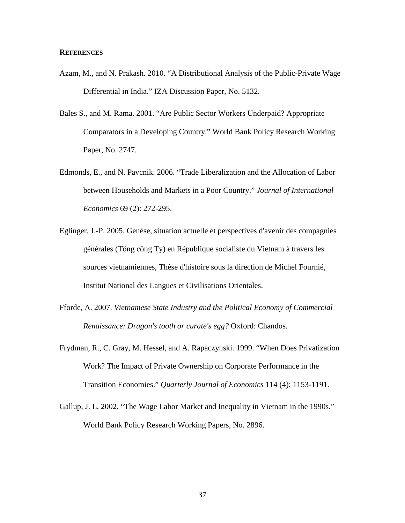#### **REFERENCES**

- Azam, M., and N. Prakash. 2010. "A Distributional Analysis of the Public-Private Wage Differential in India." IZA Discussion Paper, No. 5132.
- Bales S., and M. Rama. 2001. "Are Public Sector Workers Underpaid? Appropriate Comparators in a Developing Country." World Bank Policy Research Working Paper, No. 2747.
- Edmonds, E., and N. Pavcnik. 2006. "Trade Liberalization and the Allocation of Labor between Households and Markets in a Poor Country." *Journal of International Economics* 69 (2): 272-295.
- Eglinger, J.-P. 2005. Genèse, situation actuelle et perspectives d'avenir des compagnies générales (Töng cöng Ty) en République socialiste du Vietnam à travers les sources vietnamiennes, Thèse d'histoire sous la direction de Michel Fournié, Institut National des Langues et Civilisations Orientales.
- Fforde, A. 2007. *Vietnamese State Industry and the Political Economy of Commercial Renaissance: Dragon's tooth or curate's egg?* Oxford: Chandos.
- Frydman, R., C. Gray, M. Hessel, and A. Rapaczynski. 1999. "When Does Privatization Work? The Impact of Private Ownership on Corporate Performance in the Transition Economies." *Quarterly Journal of Economics* 114 (4): 1153-1191.
- Gallup, J. L. 2002. "The Wage Labor Market and Inequality in Vietnam in the 1990s." World Bank Policy Research Working Papers, No. 2896.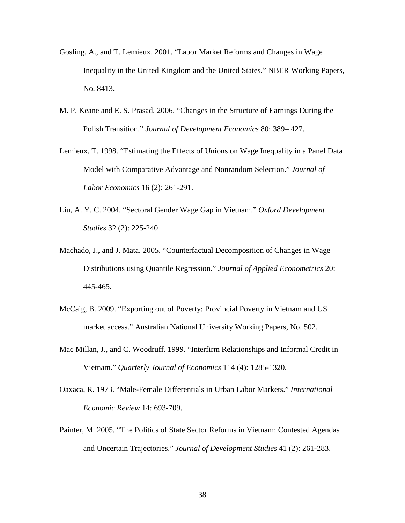- Gosling, A., and T. Lemieux. 2001. "Labor Market Reforms and Changes in Wage Inequality in the United Kingdom and the United States." NBER Working Papers, No. 8413.
- M. P. Keane and E. S. Prasad. 2006. "Changes in the Structure of Earnings During the Polish Transition." *Journal of Development Economics* 80: 389– 427.
- Lemieux, T. 1998. "Estimating the Effects of Unions on Wage Inequality in a Panel Data Model with Comparative Advantage and Nonrandom Selection." *Journal of Labor Economics* 16 (2): 261-291.
- Liu, A. Y. C. 2004. "Sectoral Gender Wage Gap in Vietnam." *Oxford Development Studies* 32 (2): 225-240.
- Machado, J., and J. Mata. 2005. "Counterfactual Decomposition of Changes in Wage Distributions using Quantile Regression." *Journal of Applied Econometrics* 20: 445-465.
- McCaig, B. 2009. "Exporting out of Poverty: Provincial Poverty in Vietnam and US market access." Australian National University Working Papers, No. 502.
- Mac Millan, J., and C. Woodruff. 1999. "Interfirm Relationships and Informal Credit in Vietnam." *Quarterly Journal of Economics* 114 (4): 1285-1320.
- Oaxaca, R. 1973. "Male-Female Differentials in Urban Labor Markets." *International Economic Review* 14: 693-709.
- Painter, M. 2005. "The Politics of State Sector Reforms in Vietnam: Contested Agendas and Uncertain Trajectories." *Journal of Development Studies* 41 (2): 261-283.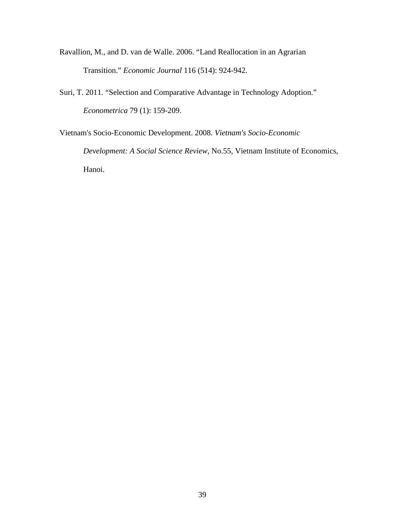- Ravallion, M., and D. van de Walle. 2006. "Land Reallocation in an Agrarian Transition." *Economic Journal* 116 (514): 924-942.
- Suri, T. 2011. "Selection and Comparative Advantage in Technology Adoption." *Econometrica* 79 (1): 159-209.

Vietnam's Socio-Economic Development. 2008. *Vietnam's Socio-Economic Development: A Social Science Review*, No.55, Vietnam Institute of Economics, Hanoi.